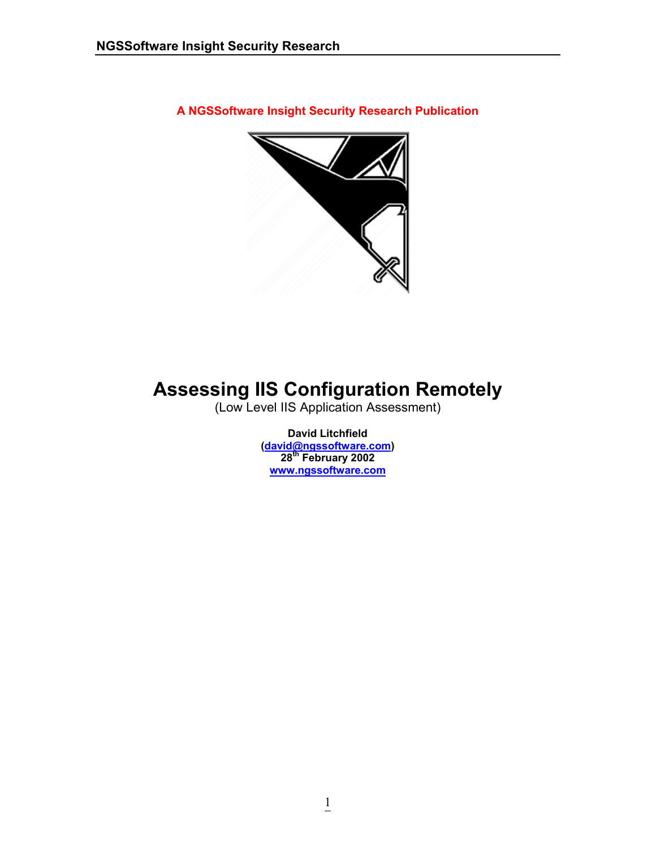**A NGSSoftware Insight Security Research Publication** 



# **Assessing IIS Configuration Remotely**

(Low Level IIS Application Assessment)

**David Litchfield (david@ngssoftware.com) 28th February 2002 www.ngssoftware.com**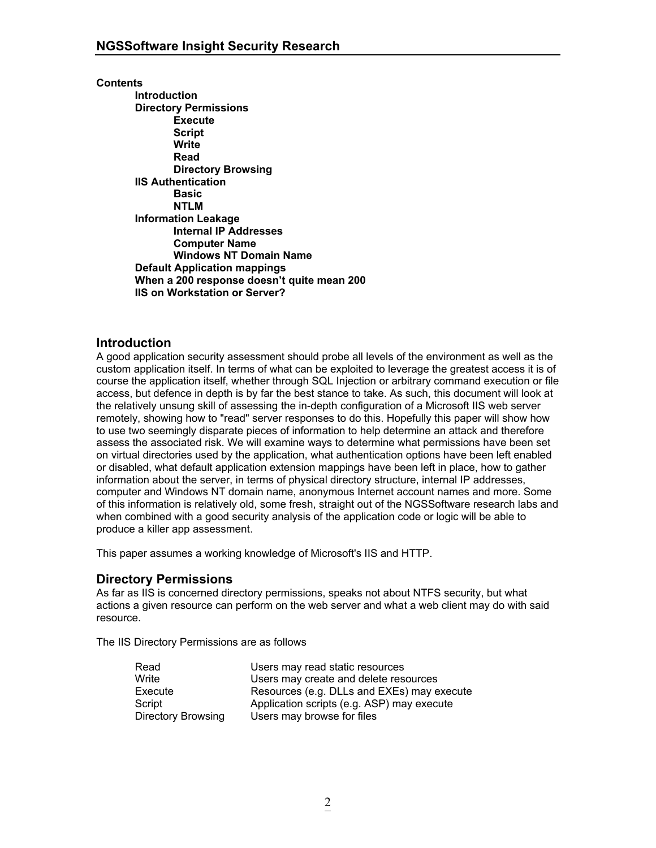#### **Contents**

 **Introduction Directory Permissions Execute Script Write Read Directory Browsing IIS Authentication Basic NTLM Information Leakage Internal IP Addresses Computer Name Windows NT Domain Name Default Application mappings When a 200 response doesn't quite mean 200 IIS on Workstation or Server?** 

# **Introduction**

A good application security assessment should probe all levels of the environment as well as the custom application itself. In terms of what can be exploited to leverage the greatest access it is of course the application itself, whether through SQL Injection or arbitrary command execution or file access, but defence in depth is by far the best stance to take. As such, this document will look at the relatively unsung skill of assessing the in-depth configuration of a Microsoft IIS web server remotely, showing how to "read" server responses to do this. Hopefully this paper will show how to use two seemingly disparate pieces of information to help determine an attack and therefore assess the associated risk. We will examine ways to determine what permissions have been set on virtual directories used by the application, what authentication options have been left enabled or disabled, what default application extension mappings have been left in place, how to gather information about the server, in terms of physical directory structure, internal IP addresses, computer and Windows NT domain name, anonymous Internet account names and more. Some of this information is relatively old, some fresh, straight out of the NGSSoftware research labs and when combined with a good security analysis of the application code or logic will be able to produce a killer app assessment.

This paper assumes a working knowledge of Microsoft's IIS and HTTP.

# **Directory Permissions**

As far as IIS is concerned directory permissions, speaks not about NTFS security, but what actions a given resource can perform on the web server and what a web client may do with said resource.

The IIS Directory Permissions are as follows

| Read                      | Users may read static resources            |
|---------------------------|--------------------------------------------|
| Write                     | Users may create and delete resources      |
| Execute                   | Resources (e.g. DLLs and EXEs) may execute |
| Script                    | Application scripts (e.g. ASP) may execute |
| <b>Directory Browsing</b> | Users may browse for files                 |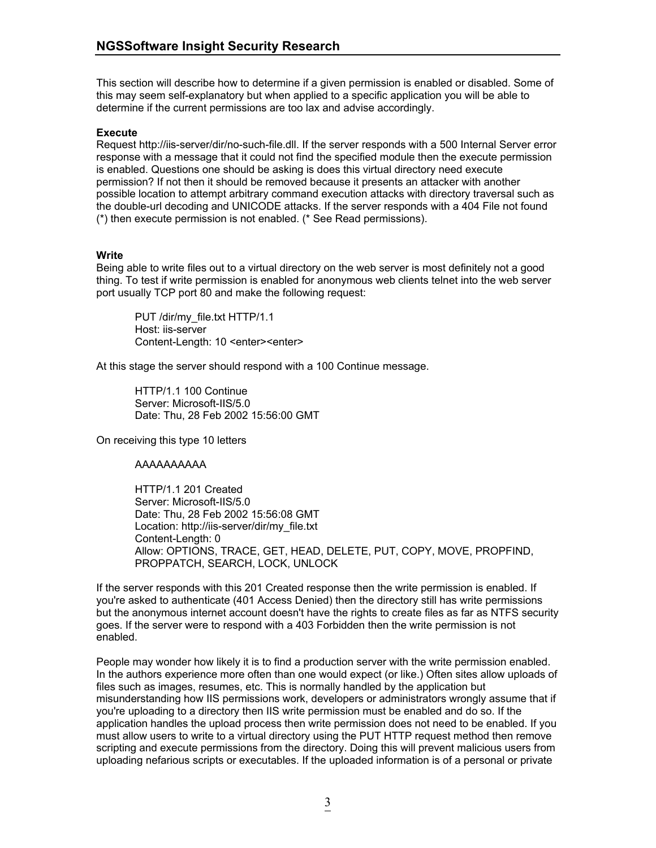This section will describe how to determine if a given permission is enabled or disabled. Some of this may seem self-explanatory but when applied to a specific application you will be able to determine if the current permissions are too lax and advise accordingly.

## **Execute**

Request http://iis-server/dir/no-such-file.dll. If the server responds with a 500 Internal Server error response with a message that it could not find the specified module then the execute permission is enabled. Questions one should be asking is does this virtual directory need execute permission? If not then it should be removed because it presents an attacker with another possible location to attempt arbitrary command execution attacks with directory traversal such as the double-url decoding and UNICODE attacks. If the server responds with a 404 File not found (\*) then execute permission is not enabled. (\* See Read permissions).

## **Write**

Being able to write files out to a virtual directory on the web server is most definitely not a good thing. To test if write permission is enabled for anonymous web clients telnet into the web server port usually TCP port 80 and make the following request:

 PUT /dir/my\_file.txt HTTP/1.1 Host: iis-server Content-Length: 10 <enter><enter>

At this stage the server should respond with a 100 Continue message.

 HTTP/1.1 100 Continue Server: Microsoft-IIS/5.0 Date: Thu, 28 Feb 2002 15:56:00 GMT

On receiving this type 10 letters

# AAAAAAAAAA

 HTTP/1.1 201 Created Server: Microsoft-IIS/5.0 Date: Thu, 28 Feb 2002 15:56:08 GMT Location: http://iis-server/dir/my\_file.txt Content-Length: 0 Allow: OPTIONS, TRACE, GET, HEAD, DELETE, PUT, COPY, MOVE, PROPFIND, PROPPATCH, SEARCH, LOCK, UNLOCK

If the server responds with this 201 Created response then the write permission is enabled. If you're asked to authenticate (401 Access Denied) then the directory still has write permissions but the anonymous internet account doesn't have the rights to create files as far as NTFS security goes. If the server were to respond with a 403 Forbidden then the write permission is not enabled.

People may wonder how likely it is to find a production server with the write permission enabled. In the authors experience more often than one would expect (or like.) Often sites allow uploads of files such as images, resumes, etc. This is normally handled by the application but misunderstanding how IIS permissions work, developers or administrators wrongly assume that if you're uploading to a directory then IIS write permission must be enabled and do so. If the application handles the upload process then write permission does not need to be enabled. If you must allow users to write to a virtual directory using the PUT HTTP request method then remove scripting and execute permissions from the directory. Doing this will prevent malicious users from uploading nefarious scripts or executables. If the uploaded information is of a personal or private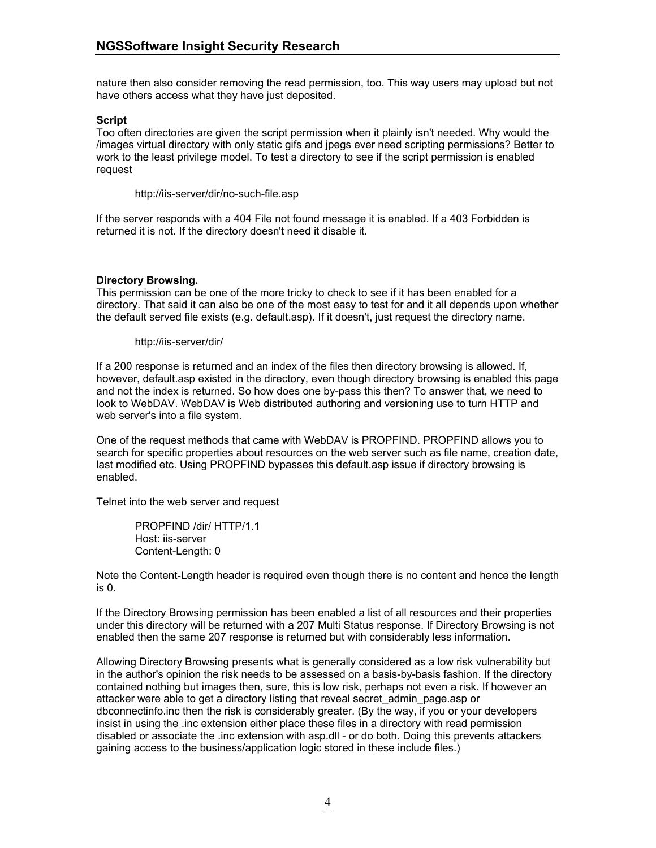nature then also consider removing the read permission, too. This way users may upload but not have others access what they have just deposited.

## **Script**

Too often directories are given the script permission when it plainly isn't needed. Why would the /images virtual directory with only static gifs and jpegs ever need scripting permissions? Better to work to the least privilege model. To test a directory to see if the script permission is enabled request

http://iis-server/dir/no-such-file.asp

If the server responds with a 404 File not found message it is enabled. If a 403 Forbidden is returned it is not. If the directory doesn't need it disable it.

## **Directory Browsing.**

This permission can be one of the more tricky to check to see if it has been enabled for a directory. That said it can also be one of the most easy to test for and it all depends upon whether the default served file exists (e.g. default.asp). If it doesn't, just request the directory name.

http://iis-server/dir/

If a 200 response is returned and an index of the files then directory browsing is allowed. If, however, default.asp existed in the directory, even though directory browsing is enabled this page and not the index is returned. So how does one by-pass this then? To answer that, we need to look to WebDAV. WebDAV is Web distributed authoring and versioning use to turn HTTP and web server's into a file system.

One of the request methods that came with WebDAV is PROPFIND. PROPFIND allows you to search for specific properties about resources on the web server such as file name, creation date, last modified etc. Using PROPFIND bypasses this default.asp issue if directory browsing is enabled.

Telnet into the web server and request

 PROPFIND /dir/ HTTP/1.1 Host: iis-server Content-Length: 0

Note the Content-Length header is required even though there is no content and hence the length is 0.

If the Directory Browsing permission has been enabled a list of all resources and their properties under this directory will be returned with a 207 Multi Status response. If Directory Browsing is not enabled then the same 207 response is returned but with considerably less information.

Allowing Directory Browsing presents what is generally considered as a low risk vulnerability but in the author's opinion the risk needs to be assessed on a basis-by-basis fashion. If the directory contained nothing but images then, sure, this is low risk, perhaps not even a risk. If however an attacker were able to get a directory listing that reveal secret\_admin\_page.asp or dbconnectinfo.inc then the risk is considerably greater. (By the way, if you or your developers insist in using the .inc extension either place these files in a directory with read permission disabled or associate the .inc extension with asp.dll - or do both. Doing this prevents attackers gaining access to the business/application logic stored in these include files.)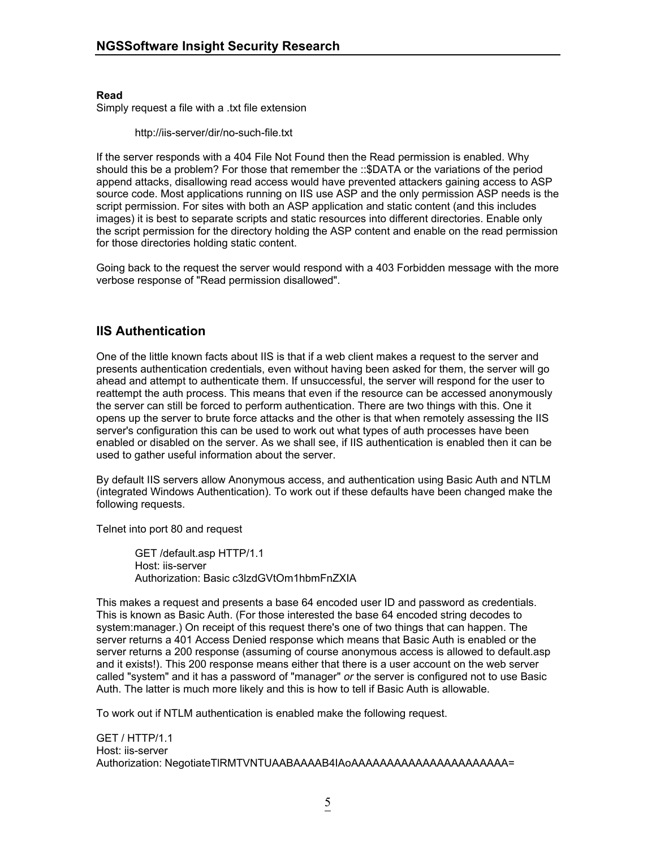**Read** 

Simply request a file with a .txt file extension

http://iis-server/dir/no-such-file.txt

If the server responds with a 404 File Not Found then the Read permission is enabled. Why should this be a problem? For those that remember the ::\$DATA or the variations of the period append attacks, disallowing read access would have prevented attackers gaining access to ASP source code. Most applications running on IIS use ASP and the only permission ASP needs is the script permission. For sites with both an ASP application and static content (and this includes images) it is best to separate scripts and static resources into different directories. Enable only the script permission for the directory holding the ASP content and enable on the read permission for those directories holding static content.

Going back to the request the server would respond with a 403 Forbidden message with the more verbose response of "Read permission disallowed".

# **IIS Authentication**

One of the little known facts about IIS is that if a web client makes a request to the server and presents authentication credentials, even without having been asked for them, the server will go ahead and attempt to authenticate them. If unsuccessful, the server will respond for the user to reattempt the auth process. This means that even if the resource can be accessed anonymously the server can still be forced to perform authentication. There are two things with this. One it opens up the server to brute force attacks and the other is that when remotely assessing the IIS server's configuration this can be used to work out what types of auth processes have been enabled or disabled on the server. As we shall see, if IIS authentication is enabled then it can be used to gather useful information about the server.

By default IIS servers allow Anonymous access, and authentication using Basic Auth and NTLM (integrated Windows Authentication). To work out if these defaults have been changed make the following requests.

Telnet into port 80 and request

 GET /default.asp HTTP/1.1 Host: iis-server Authorization: Basic c3lzdGVtOm1hbmFnZXIA

This makes a request and presents a base 64 encoded user ID and password as credentials. This is known as Basic Auth. (For those interested the base 64 encoded string decodes to system:manager.) On receipt of this request there's one of two things that can happen. The server returns a 401 Access Denied response which means that Basic Auth is enabled or the server returns a 200 response (assuming of course anonymous access is allowed to default.asp and it exists!). This 200 response means either that there is a user account on the web server called "system" and it has a password of "manager" *or* the server is configured not to use Basic Auth. The latter is much more likely and this is how to tell if Basic Auth is allowable.

To work out if NTLM authentication is enabled make the following request.

GET / HTTP/1.1 Host: iis-server Authorization: NegotiateTlRMTVNTUAABAAAAB4IAoAAAAAAAAAAAAAAAAAAAAAAAA=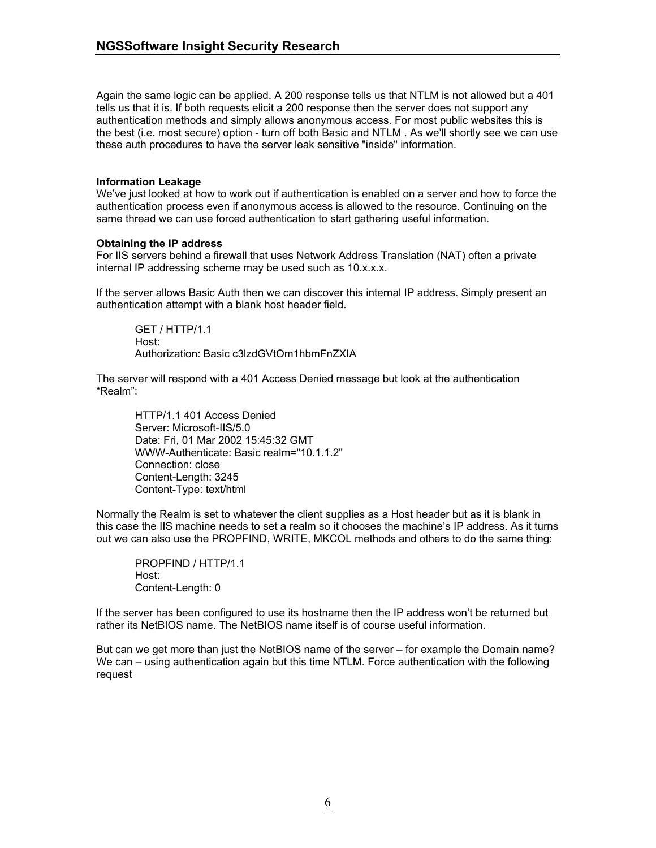Again the same logic can be applied. A 200 response tells us that NTLM is not allowed but a 401 tells us that it is. If both requests elicit a 200 response then the server does not support any authentication methods and simply allows anonymous access. For most public websites this is the best (i.e. most secure) option - turn off both Basic and NTLM . As we'll shortly see we can use these auth procedures to have the server leak sensitive "inside" information.

## **Information Leakage**

We've just looked at how to work out if authentication is enabled on a server and how to force the authentication process even if anonymous access is allowed to the resource. Continuing on the same thread we can use forced authentication to start gathering useful information.

## **Obtaining the IP address**

For IIS servers behind a firewall that uses Network Address Translation (NAT) often a private internal IP addressing scheme may be used such as 10.x.x.x.

If the server allows Basic Auth then we can discover this internal IP address. Simply present an authentication attempt with a blank host header field.

 GET / HTTP/1.1 Host: Authorization: Basic c3lzdGVtOm1hbmFnZXIA

The server will respond with a 401 Access Denied message but look at the authentication "Realm":

HTTP/1.1 401 Access Denied Server: Microsoft-IIS/5.0 Date: Fri, 01 Mar 2002 15:45:32 GMT WWW-Authenticate: Basic realm="10.1.1.2" Connection: close Content-Length: 3245 Content-Type: text/html

Normally the Realm is set to whatever the client supplies as a Host header but as it is blank in this case the IIS machine needs to set a realm so it chooses the machine's IP address. As it turns out we can also use the PROPFIND, WRITE, MKCOL methods and others to do the same thing:

PROPFIND / HTTP/1.1 Host: Content-Length: 0

If the server has been configured to use its hostname then the IP address won't be returned but rather its NetBIOS name. The NetBIOS name itself is of course useful information.

But can we get more than just the NetBIOS name of the server – for example the Domain name? We can – using authentication again but this time NTLM. Force authentication with the following request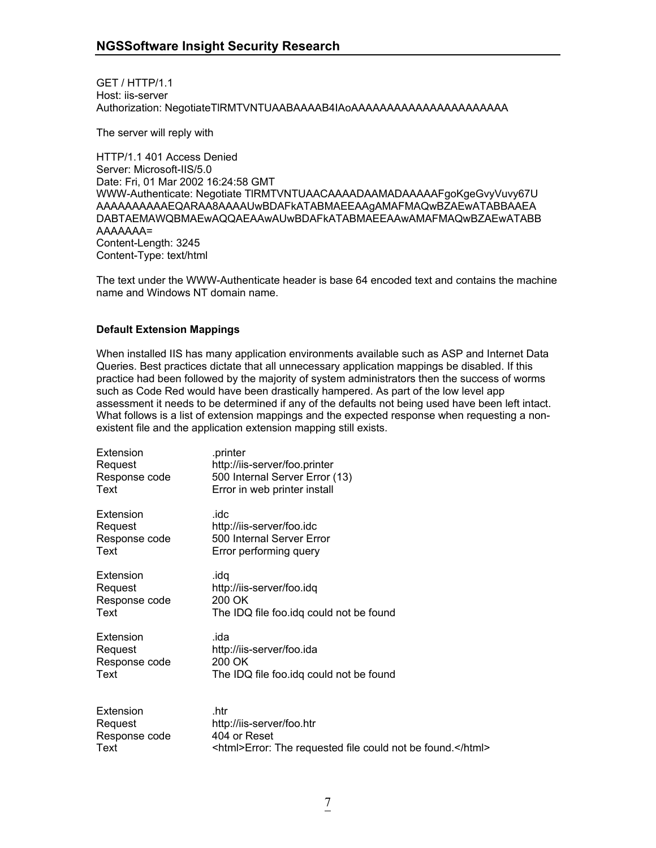GET / HTTP/1.1 Host: iis-server Authorization: NegotiateTlRMTVNTUAABAAAAB4IAoAAAAAAAAAAAAAAAAAAAAAA

The server will reply with

HTTP/1.1 401 Access Denied Server: Microsoft-IIS/5.0 Date: Fri, 01 Mar 2002 16:24:58 GMT WWW-Authenticate: Negotiate TlRMTVNTUAACAAAADAAMADAAAAAFgoKgeGvyVuvy67U AAAAAAAAAAEQARAA8AAAAUwBDAFkATABMAEEAAgAMAFMAQwBZAEwATABBAAEA DABTAEMAWQBMAEwAQQAEAAwAUwBDAFkATABMAEEAAwAMAFMAQwBZAEwATABB AAAAAAA= Content-Length: 3245 Content-Type: text/html

The text under the WWW-Authenticate header is base 64 encoded text and contains the machine name and Windows NT domain name.

# **Default Extension Mappings**

When installed IIS has many application environments available such as ASP and Internet Data Queries. Best practices dictate that all unnecessary application mappings be disabled. If this practice had been followed by the majority of system administrators then the success of worms such as Code Red would have been drastically hampered. As part of the low level app assessment it needs to be determined if any of the defaults not being used have been left intact. What follows is a list of extension mappings and the expected response when requesting a nonexistent file and the application extension mapping still exists.

| Extension     | .printer                                                   |
|---------------|------------------------------------------------------------|
| Request       | http://iis-server/foo.printer                              |
| Response code | 500 Internal Server Error (13)                             |
| Text          | Error in web printer install                               |
| Extension     | .idc                                                       |
| Request       | http://iis-server/foo.idc                                  |
| Response code | 500 Internal Server Error                                  |
| Text          | Error performing query                                     |
| Extension     | .idq                                                       |
| Request       | http://iis-server/foo.idq                                  |
| Response code | 200 OK                                                     |
| Text          | The IDQ file foo.idq could not be found                    |
| Extension     | .ida                                                       |
| Request       | http://iis-server/foo.ida                                  |
| Response code | 200 OK                                                     |
| Text          | The IDQ file foo.idq could not be found                    |
| Extension     | .htr                                                       |
| Request       | http://iis-server/foo.htr                                  |
| Response code | 404 or Reset                                               |
| Text          | <html>Error: The requested file could not be found.</html> |